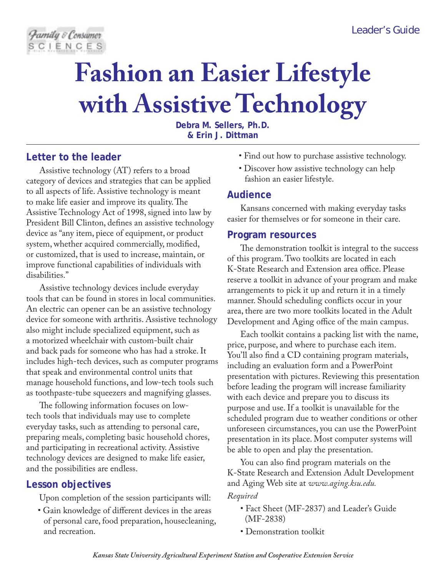

# **Fashion an Easier Lifestyle with Assistive Technology**

**Debra M. Sellers, Ph.D. & Erin J. Dittman**

# **Letter to the leader**

Assistive technology (AT) refers to a broad category of devices and strategies that can be applied to all aspects of life. Assistive technology is meant to make life easier and improve its quality. The Assistive Technology Act of 1998, signed into law by President Bill Clinton, defines an assistive technology device as "any item, piece of equipment, or product system, whether acquired commercially, modified, or customized, that is used to increase, maintain, or improve functional capabilities of individuals with disabilities."

Assistive technology devices include everyday tools that can be found in stores in local communities. An electric can opener can be an assistive technology device for someone with arthritis. Assistive technology also might include specialized equipment, such as a motorized wheelchair with custom-built chair and back pads for someone who has had a stroke. It includes high-tech devices, such as computer programs that speak and environmental control units that manage household functions, and low-tech tools such as toothpaste-tube squeezers and magnifying glasses.

The following information focuses on lowtech tools that individuals may use to complete everyday tasks, such as attending to personal care, preparing meals, completing basic household chores, and participating in recreational activity. Assistive technology devices are designed to make life easier, and the possibilities are endless.

# **Lesson objectives**

Upon completion of the session participants will:

• Gain knowledge of different devices in the areas of personal care, food preparation, housecleaning, and recreation.

- Find out how to purchase assistive technology.
- Discover how assistive technology can help fashion an easier lifestyle.

## **Audience**

Kansans concerned with making everyday tasks easier for themselves or for someone in their care.

## **Program resources**

The demonstration toolkit is integral to the success of this program. Two toolkits are located in each K-State Research and Extension area office. Please reserve a toolkit in advance of your program and make arrangements to pick it up and return it in a timely manner. Should scheduling conflicts occur in your area, there are two more toolkits located in the Adult Development and Aging office of the main campus.

Each toolkit contains a packing list with the name, price, purpose, and where to purchase each item. You'll also find a CD containing program materials, including an evaluation form and a PowerPoint presentation with pictures. Reviewing this presentation before leading the program will increase familiarity with each device and prepare you to discuss its purpose and use. If a toolkit is unavailable for the scheduled program due to weather conditions or other unforeseen circumstances, you can use the PowerPoint presentation in its place. Most computer systems will be able to open and play the presentation.

You can also find program materials on the K-State Research and Extension Adult Development and Aging Web site at *www.aging.ksu.edu.*

#### *Required*

- Fact Sheet (MF-2837) and Leader's Guide (MF-2838)
- Demonstration toolkit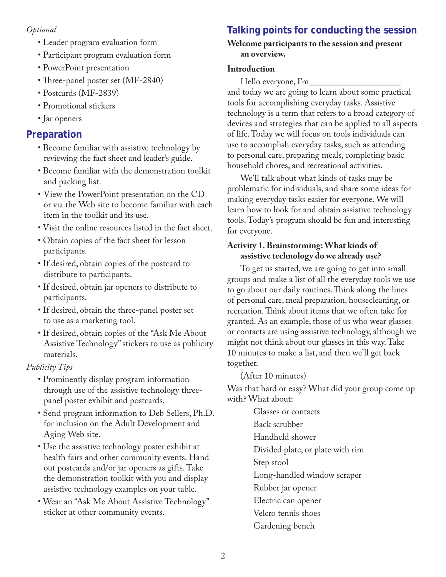## *Optional*

- Leader program evaluation form
- Participant program evaluation form
- PowerPoint presentation
- Three-panel poster set (MF-2840)
- Postcards (MF-2839)
- Promotional stickers
- Jar openers

## **Preparation**

- Become familiar with assistive technology by reviewing the fact sheet and leader's guide.
- Become familiar with the demonstration toolkit and packing list.
- View the PowerPoint presentation on the CD or via the Web site to become familiar with each item in the toolkit and its use.
- Visit the online resources listed in the fact sheet.
- Obtain copies of the fact sheet for lesson participants.
- If desired, obtain copies of the postcard to distribute to participants.
- If desired, obtain jar openers to distribute to participants.
- If desired, obtain the three-panel poster set to use as a marketing tool.
- If desired, obtain copies of the "Ask Me About Assistive Technology" stickers to use as publicity materials.

## *Publicity Tips*

- Prominently display program information through use of the assistive technology threepanel poster exhibit and postcards.
- Send program information to Deb Sellers, Ph.D. for inclusion on the Adult Development and Aging Web site.
- Use the assistive technology poster exhibit at health fairs and other community events. Hand out postcards and/or jar openers as gifts. Take the demonstration toolkit with you and display assistive technology examples on your table.
- Wear an "Ask Me About Assistive Technology" sticker at other community events.

# **Talking points for conducting the session**

#### **Welcome participants to the session and present an overview.**

#### **Introduction**

Hello everyone,  $\Gamma_{\text{m}}$ 

and today we are going to learn about some practical tools for accomplishing everyday tasks. Assistive technology is a term that refers to a broad category of devices and strategies that can be applied to all aspects of life. Today we will focus on tools individuals can use to accomplish everyday tasks, such as attending to personal care, preparing meals, completing basic household chores, and recreational activities.

We'll talk about what kinds of tasks may be problematic for individuals, and share some ideas for making everyday tasks easier for everyone. We will learn how to look for and obtain assistive technology tools. Today's program should be fun and interesting for everyone.

#### **Activity 1. Brainstorming: What kinds of assistive technology do we already use?**

To get us started, we are going to get into small groups and make a list of all the everyday tools we use to go about our daily routines. Think along the lines of personal care, meal preparation, housecleaning, or recreation. Think about items that we often take for granted. As an example, those of us who wear glasses or contacts are using assistive technology, although we might not think about our glasses in this way. Take 10 minutes to make a list, and then we'll get back together.

(After 10 minutes)

Was that hard or easy? What did your group come up with? What about:

> Glasses or contacts Back scrubber Handheld shower Divided plate, or plate with rim Step stool Long-handled window scraper Rubber jar opener Electric can opener Velcro tennis shoes Gardening bench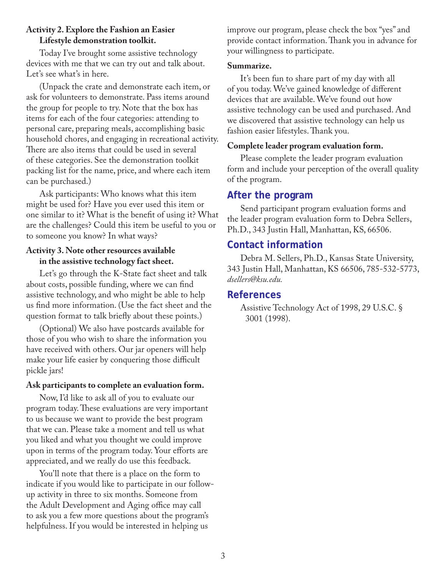#### **Activity 2. Explore the Fashion an Easier Lifestyle demonstration toolkit.**

Today I've brought some assistive technology devices with me that we can try out and talk about. Let's see what's in here.

(Unpack the crate and demonstrate each item, or ask for volunteers to demonstrate. Pass items around the group for people to try. Note that the box has items for each of the four categories: attending to personal care, preparing meals, accomplishing basic household chores, and engaging in recreational activity. There are also items that could be used in several of these categories. See the demonstration toolkit packing list for the name, price, and where each item can be purchased.)

Ask participants: Who knows what this item might be used for? Have you ever used this item or one similar to it? What is the benefit of using it? What are the challenges? Could this item be useful to you or to someone you know? In what ways?

# **Activity 3. Note other resources available in the assistive technology fact sheet.**

Let's go through the K-State fact sheet and talk about costs, possible funding, where we can find assistive technology, and who might be able to help us find more information. (Use the fact sheet and the question format to talk briefly about these points.)

(Optional) We also have postcards available for those of you who wish to share the information you have received with others. Our jar openers will help make your life easier by conquering those difficult pickle jars!

## **Ask participants to complete an evaluation form.**

Now, I'd like to ask all of you to evaluate our program today. These evaluations are very important to us because we want to provide the best program that we can. Please take a moment and tell us what you liked and what you thought we could improve upon in terms of the program today. Your efforts are appreciated, and we really do use this feedback.

You'll note that there is a place on the form to indicate if you would like to participate in our followup activity in three to six months. Someone from the Adult Development and Aging office may call to ask you a few more questions about the program's helpfulness. If you would be interested in helping us

improve our program, please check the box "yes" and provide contact information. Thank you in advance for your willingness to participate.

## **Summarize.**

It's been fun to share part of my day with all of you today. We've gained knowledge of different devices that are available. We've found out how assistive technology can be used and purchased. And we discovered that assistive technology can help us fashion easier lifestyles. Thank you.

# **Complete leader program evaluation form.**

Please complete the leader program evaluation form and include your perception of the overall quality of the program.

# **After the program**

Send participant program evaluation forms and the leader program evaluation form to Debra Sellers, Ph.D., 343 Justin Hall, Manhattan, KS, 66506.

# **Contact information**

Debra M. Sellers, Ph.D., Kansas State University, 343 Justin Hall, Manhattan, KS 66506, 785-532-5773, *dsellers@ksu.edu.*

# **References**

Assistive Technology Act of 1998, 29 U.S.C. § 3001 (1998).